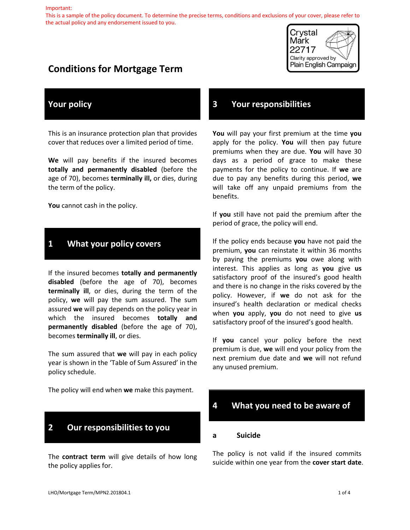#### Important:

This is a sample of the policy document. To determine the precise terms, conditions and exclusions of your cover, please refer to the actual policy and any endorsement issued to you.

# **Conditions for Mortgage Term**



### **Your policy**

This is an insurance protection plan that provides cover that reduces over a limited period of time.

**We** will pay benefits if the insured becomes **totally and permanently disabled** (before the age of 70), becomes **terminally ill,** or dies, during the term of the policy.

You cannot cash in the policy.

## **1 What your policy covers**

If the insured becomes **totally and permanently disabled** (before the age of 70), becomes **terminally ill**, or dies, during the term of the policy, **we** will pay the sum assured. The sum assured **we** will pay depends on the policy year in which the insured becomes **totally and permanently disabled** (before the age of 70), becomes **terminally ill**, or dies.

The sum assured that **we** will pay in each policy year is shown in the 'Table of Sum Assured' in the policy schedule.

The policy will end when **we** make this payment.

# **2 Our responsibilities to you**

The **contract term** will give details of how long the policy applies for.

### **3 Your responsibilities**

**You** will pay your first premium at the time **you** apply for the policy. **You** will then pay future premiums when they are due. **You** will have 30 days as a period of grace to make these payments for the policy to continue. If **we** are due to pay any benefits during this period, **we** will take off any unpaid premiums from the benefits.

If **you** still have not paid the premium after the period of grace, the policy will end.

If the policy ends because **you** have not paid the premium, **you** can reinstate it within 36 months by paying the premiums **you** owe along with interest. This applies as long as **you** give **us**  satisfactory proof of the insured's good health and there is no change in the risks covered by the policy. However, if **we** do not ask for the insured's health declaration or medical checks when **you** apply, **you** do not need to give **us**  satisfactory proof of the insured's good health.

If **you** cancel your policy before the next premium is due, **we** will end your policy from the next premium due date and **we** will not refund any unused premium.

# **4 What you need to be aware of**

#### **a Suicide**

The policy is not valid if the insured commits suicide within one year from the **cover start date**.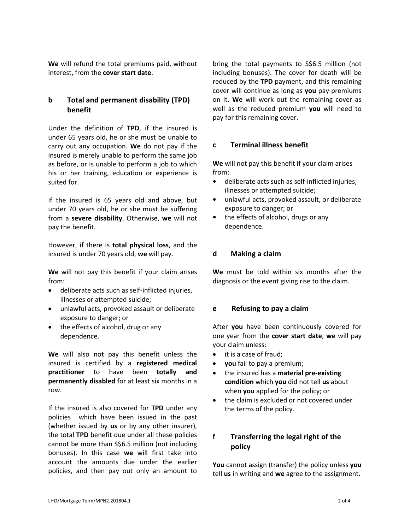**We** will refund the total premiums paid, without interest, from the **cover start date**.

#### **b Total and permanent disability (TPD) benefit**

Under the definition of **TPD**, if the insured is under 65 years old, he or she must be unable to carry out any occupation. **We** do not pay if the insured is merely unable to perform the same job as before, or is unable to perform a job to which his or her training, education or experience is suited for.

If the insured is 65 years old and above, but under 70 years old, he or she must be suffering from a **severe disability**. Otherwise, **we** will not pay the benefit.

However, if there is **total physical loss**, and the insured is under 70 years old, **we** will pay.

**We** will not pay this benefit if your claim arises from:

- deliberate acts such as self-inflicted injuries, illnesses or attempted suicide;
- unlawful acts, provoked assault or deliberate exposure to danger; or
- the effects of alcohol, drug or any dependence.

**We** will also not pay this benefit unless the insured is certified by a **registered medical practitioner** to have been **totally and permanently disabled** for at least six months in a row.

If the insured is also covered for **TPD** under any policies which have been issued in the past (whether issued by **us** or by any other insurer), the total **TPD** benefit due under all these policies cannot be more than S\$6.5 million (not including bonuses). In this case **we** will first take into account the amounts due under the earlier policies, and then pay out only an amount to

bring the total payments to S\$6.5 million (not including bonuses). The cover for death will be reduced by the **TPD** payment, and this remaining cover will continue as long as **you** pay premiums on it. **We** will work out the remaining cover as well as the reduced premium **you** will need to pay for this remaining cover.

#### **c Terminal illness benefit**

**We** will not pay this benefit if your claim arises from:

- deliberate acts such as self-inflicted injuries, illnesses or attempted suicide;
- unlawful acts, provoked assault, or deliberate exposure to danger; or
- the effects of alcohol, drugs or any dependence.

#### **d Making a claim**

**We** must be told within six months after the diagnosis or the event giving rise to the claim.

#### **e Refusing to pay a claim**

After **you** have been continuously covered for one year from the **cover start date**, **we** will pay your claim unless:

- it is a case of fraud;
- **you** fail to pay a premium;
- the insured has a **material pre-existing condition** which **you** did not tell **us** about when **you** applied for the policy; or
- the claim is excluded or not covered under the terms of the policy.

# **f Transferring the legal right of the policy**

**You** cannot assign (transfer) the policy unless **you** tell **us** in writing and **we** agree to the assignment.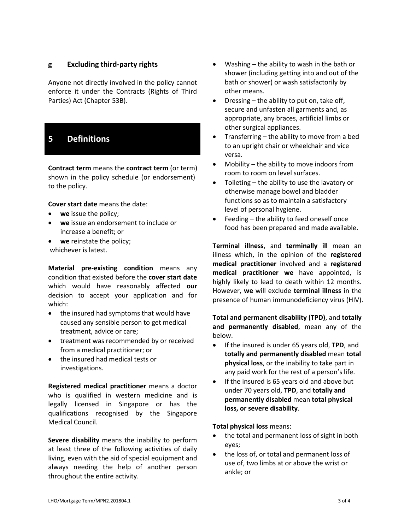#### **g Excluding third-party rights**

Anyone not directly involved in the policy cannot enforce it under the Contracts (Rights of Third Parties) Act (Chapter 53B).

# **5 Definitions**

**Contract term** means the **contract term** (or term) shown in the policy schedule (or endorsement) to the policy.

**Cover start date** means the date:

- **we** issue the policy;
- **we** issue an endorsement to include or increase a benefit; or
- **we** reinstate the policy; whichever is latest.

**Material pre-existing condition** means any condition that existed before the **cover start date**  which would have reasonably affected **our**  decision to accept your application and for which:

- the insured had symptoms that would have caused any sensible person to get medical treatment, advice or care;
- treatment was recommended by or received from a medical practitioner; or
- the insured had medical tests or investigations.

**Registered medical practitioner** means a doctor who is qualified in western medicine and is legally licensed in Singapore or has the qualifications recognised by the Singapore Medical Council.

**Severe disability** means the inability to perform at least three of the following activities of daily living, even with the aid of special equipment and always needing the help of another person throughout the entire activity.

- Washing the ability to wash in the bath or shower (including getting into and out of the bath or shower) or wash satisfactorily by other means.
- Dressing the ability to put on, take off, secure and unfasten all garments and, as appropriate, any braces, artificial limbs or other surgical appliances.
- Transferring  $-$  the ability to move from a bed to an upright chair or wheelchair and vice versa.
- Mobility the ability to move indoors from room to room on level surfaces.
- Toileting the ability to use the lavatory or otherwise manage bowel and bladder functions so as to maintain a satisfactory level of personal hygiene.
- Feeding the ability to feed oneself once food has been prepared and made available.

**Terminal illness**, and **terminally ill** mean an illness which, in the opinion of the **registered medical practitioner** involved and a **registered medical practitioner we** have appointed, is highly likely to lead to death within 12 months. However, **we** will exclude **terminal illness** in the presence of human immunodeficiency virus (HIV).

**Total and permanent disability (TPD)**, and **totally and permanently disabled**, mean any of the below.

- If the insured is under 65 years old, **TPD**, and **totally and permanently disabled** mean **total physical loss**, or the inability to take part in any paid work for the rest of a person's life.
- If the insured is 65 years old and above but under 70 years old, **TPD**, and **totally and permanently disabled** mean **total physical loss, or severe disability**.

#### **Total physical loss** means:

- the total and permanent loss of sight in both eyes;
- the loss of, or total and permanent loss of use of, two limbs at or above the wrist or ankle; or